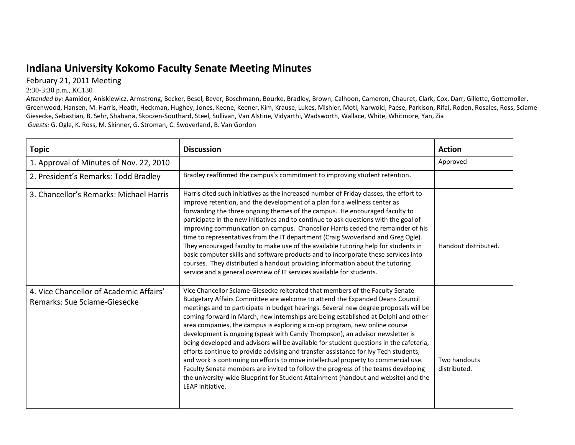## **Indiana University Kokomo Faculty Senate Meeting Minutes**

February 21, 2011 Meeting

## 2:30-3:30 p.m., KC130

*Attended by:* Aamidor, Aniskiewicz, Armstrong, Becker, Besel, Bever, Boschmann, Bourke, Bradley, Brown, Calhoon, Cameron, Chauret, Clark, Cox, Darr, Gillette, Gottemoller, Greenwood, Hansen, M. Harris, Heath, Heckman, Hughey, Jones, Keene, Keener, Kim, Krause, Lukes, Mishler, Motl, Narwold, Paese, Parkison, Rifai, Roden, Rosales, Ross, Sciame-Giesecke, Sebastian, B. Sehr, Shabana, Skoczen-Southard, Steel, Sullivan, Van Alstine, Vidyarthi, Wadsworth, Wallace, White, Whitmore, Yan, Zia *Guests:* G. Ogle, K. Ross, M. Skinner, G. Stroman, C. Swoverland, B. Van Gordon

| <b>Topic</b>                                                            | <b>Discussion</b>                                                                                                                                                                                                                                                                                                                                                                                                                                                                                                                                                                                                                                                                                                                                                                                                                                                                                                                                                               | <b>Action</b>                |
|-------------------------------------------------------------------------|---------------------------------------------------------------------------------------------------------------------------------------------------------------------------------------------------------------------------------------------------------------------------------------------------------------------------------------------------------------------------------------------------------------------------------------------------------------------------------------------------------------------------------------------------------------------------------------------------------------------------------------------------------------------------------------------------------------------------------------------------------------------------------------------------------------------------------------------------------------------------------------------------------------------------------------------------------------------------------|------------------------------|
| 1. Approval of Minutes of Nov. 22, 2010                                 |                                                                                                                                                                                                                                                                                                                                                                                                                                                                                                                                                                                                                                                                                                                                                                                                                                                                                                                                                                                 | Approved                     |
| 2. President's Remarks: Todd Bradley                                    | Bradley reaffirmed the campus's commitment to improving student retention.                                                                                                                                                                                                                                                                                                                                                                                                                                                                                                                                                                                                                                                                                                                                                                                                                                                                                                      |                              |
| 3. Chancellor's Remarks: Michael Harris                                 | Harris cited such initiatives as the increased number of Friday classes, the effort to<br>improve retention, and the development of a plan for a wellness center as<br>forwarding the three ongoing themes of the campus. He encouraged faculty to<br>participate in the new initiatives and to continue to ask questions with the goal of<br>improving communication on campus. Chancellor Harris ceded the remainder of his<br>time to representatives from the IT department (Craig Swoverland and Greg Ogle).<br>They encouraged faculty to make use of the available tutoring help for students in<br>basic computer skills and software products and to incorporate these services into<br>courses. They distributed a handout providing information about the tutoring<br>service and a general overview of IT services available for students.                                                                                                                          | Handout distributed.         |
| 4. Vice Chancellor of Academic Affairs'<br>Remarks: Sue Sciame-Giesecke | Vice Chancellor Sciame-Giesecke reiterated that members of the Faculty Senate<br>Budgetary Affairs Committee are welcome to attend the Expanded Deans Council<br>meetings and to participate in budget hearings. Several new degree proposals will be<br>coming forward in March, new internships are being established at Delphi and other<br>area companies, the campus is exploring a co-op program, new online course<br>development is ongoing (speak with Candy Thompson), an advisor newsletter is<br>being developed and advisors will be available for student questions in the cafeteria,<br>efforts continue to provide advising and transfer assistance for Ivy Tech students,<br>and work is continuing on efforts to move intellectual property to commercial use.<br>Faculty Senate members are invited to follow the progress of the teams developing<br>the university-wide Blueprint for Student Attainment (handout and website) and the<br>LEAP initiative. | Two handouts<br>distributed. |